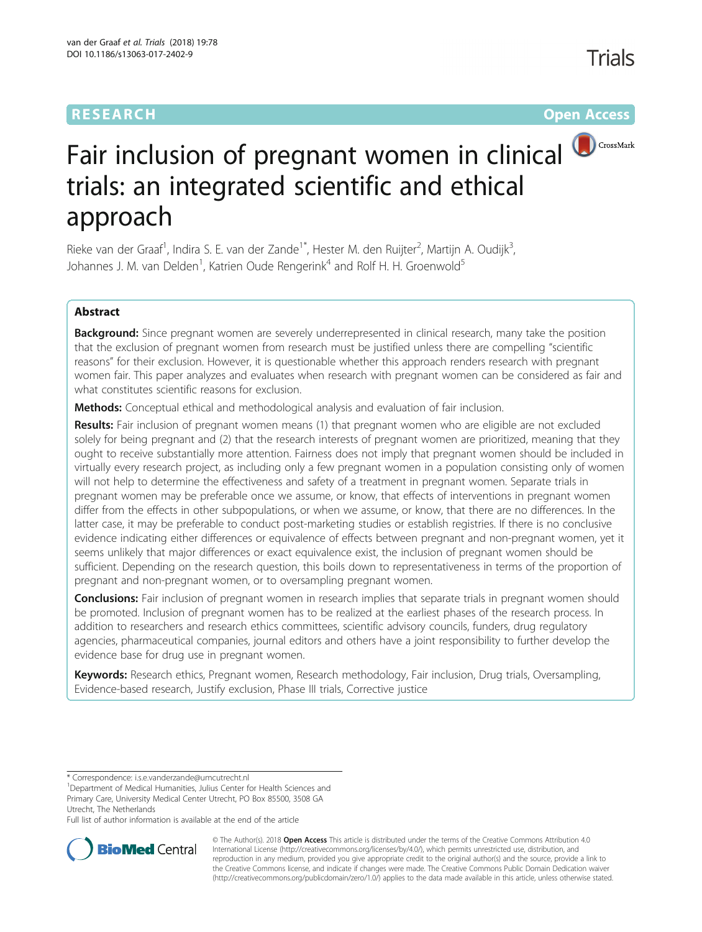# **RESEARCH CHEAR CHEAR CHEAR CHEAR CHEAR CHEAR CHEAR CHEAR CHEAR CHEAR CHEAR CHEAR CHEAR CHEAR CHEAR CHEAR CHEAR**



# Fair inclusion of pregnant women in clinical **O**CrossMark trials: an integrated scientific and ethical approach

Rieke van der Graaf<sup>1</sup>, Indira S. E. van der Zande<sup>1\*</sup>, Hester M. den Ruijter<sup>2</sup>, Martijn A. Oudijk<sup>3</sup> , Johannes J. M. van Delden<sup>1</sup>, Katrien Oude Rengerink<sup>4</sup> and Rolf H. H. Groenwold<sup>5</sup>

# Abstract

Background: Since pregnant women are severely underrepresented in clinical research, many take the position that the exclusion of pregnant women from research must be justified unless there are compelling "scientific reasons" for their exclusion. However, it is questionable whether this approach renders research with pregnant women fair. This paper analyzes and evaluates when research with pregnant women can be considered as fair and what constitutes scientific reasons for exclusion.

**Methods:** Conceptual ethical and methodological analysis and evaluation of fair inclusion.

Results: Fair inclusion of pregnant women means (1) that pregnant women who are eligible are not excluded solely for being pregnant and (2) that the research interests of pregnant women are prioritized, meaning that they ought to receive substantially more attention. Fairness does not imply that pregnant women should be included in virtually every research project, as including only a few pregnant women in a population consisting only of women will not help to determine the effectiveness and safety of a treatment in pregnant women. Separate trials in pregnant women may be preferable once we assume, or know, that effects of interventions in pregnant women differ from the effects in other subpopulations, or when we assume, or know, that there are no differences. In the latter case, it may be preferable to conduct post-marketing studies or establish registries. If there is no conclusive evidence indicating either differences or equivalence of effects between pregnant and non-pregnant women, yet it seems unlikely that major differences or exact equivalence exist, the inclusion of pregnant women should be sufficient. Depending on the research question, this boils down to representativeness in terms of the proportion of pregnant and non-pregnant women, or to oversampling pregnant women.

**Conclusions:** Fair inclusion of pregnant women in research implies that separate trials in pregnant women should be promoted. Inclusion of pregnant women has to be realized at the earliest phases of the research process. In addition to researchers and research ethics committees, scientific advisory councils, funders, drug regulatory agencies, pharmaceutical companies, journal editors and others have a joint responsibility to further develop the evidence base for drug use in pregnant women.

Keywords: Research ethics, Pregnant women, Research methodology, Fair inclusion, Drug trials, Oversampling, Evidence-based research, Justify exclusion, Phase III trials, Corrective justice

\* Correspondence: [i.s.e.vanderzande@umcutrecht.nl](mailto:i.s.e.vanderzande@umcutrecht.nl) <sup>1</sup>

<sup>1</sup>Department of Medical Humanities, Julius Center for Health Sciences and Primary Care, University Medical Center Utrecht, PO Box 85500, 3508 GA Utrecht, The Netherlands

Full list of author information is available at the end of the article



© The Author(s). 2018 Open Access This article is distributed under the terms of the Creative Commons Attribution 4.0 International License [\(http://creativecommons.org/licenses/by/4.0/](http://creativecommons.org/licenses/by/4.0/)), which permits unrestricted use, distribution, and reproduction in any medium, provided you give appropriate credit to the original author(s) and the source, provide a link to the Creative Commons license, and indicate if changes were made. The Creative Commons Public Domain Dedication waiver [\(http://creativecommons.org/publicdomain/zero/1.0/](http://creativecommons.org/publicdomain/zero/1.0/)) applies to the data made available in this article, unless otherwise stated.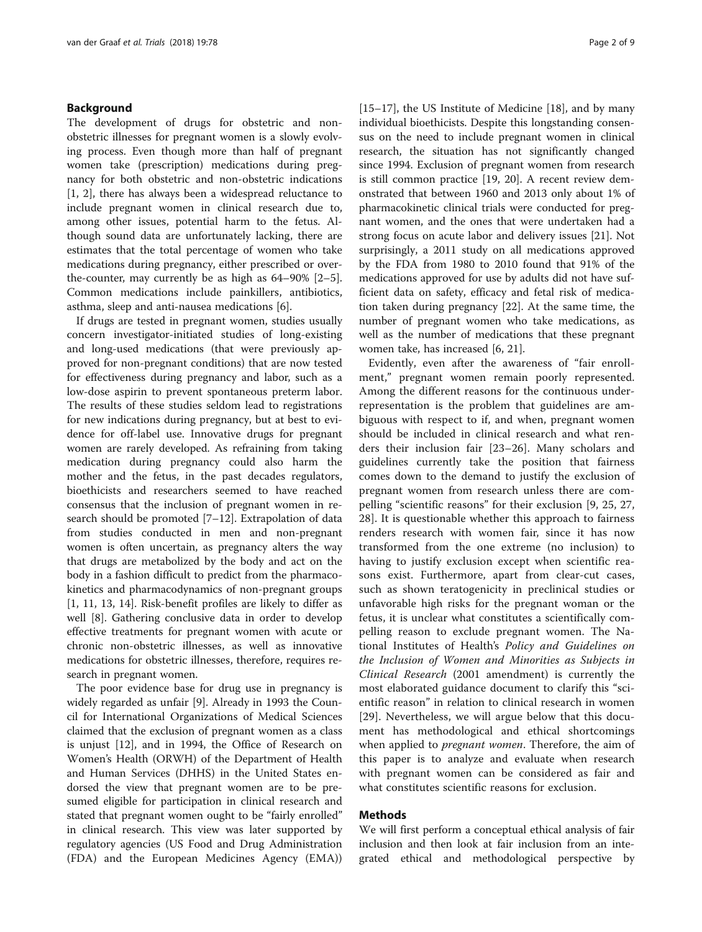# Background

The development of drugs for obstetric and nonobstetric illnesses for pregnant women is a slowly evolving process. Even though more than half of pregnant women take (prescription) medications during pregnancy for both obstetric and non-obstetric indications [[1, 2](#page-7-0)], there has always been a widespread reluctance to include pregnant women in clinical research due to, among other issues, potential harm to the fetus. Although sound data are unfortunately lacking, there are estimates that the total percentage of women who take medications during pregnancy, either prescribed or overthe-counter, may currently be as high as 64–90% [\[2](#page-7-0)–[5](#page-7-0)]. Common medications include painkillers, antibiotics, asthma, sleep and anti-nausea medications [[6\]](#page-7-0).

If drugs are tested in pregnant women, studies usually concern investigator-initiated studies of long-existing and long-used medications (that were previously approved for non-pregnant conditions) that are now tested for effectiveness during pregnancy and labor, such as a low-dose aspirin to prevent spontaneous preterm labor. The results of these studies seldom lead to registrations for new indications during pregnancy, but at best to evidence for off-label use. Innovative drugs for pregnant women are rarely developed. As refraining from taking medication during pregnancy could also harm the mother and the fetus, in the past decades regulators, bioethicists and researchers seemed to have reached consensus that the inclusion of pregnant women in research should be promoted [\[7](#page-7-0)–[12\]](#page-8-0). Extrapolation of data from studies conducted in men and non-pregnant women is often uncertain, as pregnancy alters the way that drugs are metabolized by the body and act on the body in a fashion difficult to predict from the pharmacokinetics and pharmacodynamics of non-pregnant groups [[1, 11](#page-7-0), [13](#page-8-0), [14\]](#page-8-0). Risk-benefit profiles are likely to differ as well [\[8](#page-7-0)]. Gathering conclusive data in order to develop effective treatments for pregnant women with acute or chronic non-obstetric illnesses, as well as innovative medications for obstetric illnesses, therefore, requires research in pregnant women.

The poor evidence base for drug use in pregnancy is widely regarded as unfair [[9](#page-7-0)]. Already in 1993 the Council for International Organizations of Medical Sciences claimed that the exclusion of pregnant women as a class is unjust [[12\]](#page-8-0), and in 1994, the Office of Research on Women's Health (ORWH) of the Department of Health and Human Services (DHHS) in the United States endorsed the view that pregnant women are to be presumed eligible for participation in clinical research and stated that pregnant women ought to be "fairly enrolled" in clinical research. This view was later supported by regulatory agencies (US Food and Drug Administration (FDA) and the European Medicines Agency (EMA)) [[15](#page-8-0)–[17](#page-8-0)], the US Institute of Medicine [[18\]](#page-8-0), and by many individual bioethicists. Despite this longstanding consensus on the need to include pregnant women in clinical research, the situation has not significantly changed since 1994. Exclusion of pregnant women from research is still common practice [\[19](#page-8-0), [20\]](#page-8-0). A recent review demonstrated that between 1960 and 2013 only about 1% of pharmacokinetic clinical trials were conducted for pregnant women, and the ones that were undertaken had a strong focus on acute labor and delivery issues [\[21](#page-8-0)]. Not surprisingly, a 2011 study on all medications approved by the FDA from 1980 to 2010 found that 91% of the medications approved for use by adults did not have sufficient data on safety, efficacy and fetal risk of medication taken during pregnancy [\[22\]](#page-8-0). At the same time, the number of pregnant women who take medications, as well as the number of medications that these pregnant women take, has increased [[6](#page-7-0), [21](#page-8-0)].

Evidently, even after the awareness of "fair enrollment," pregnant women remain poorly represented. Among the different reasons for the continuous underrepresentation is the problem that guidelines are ambiguous with respect to if, and when, pregnant women should be included in clinical research and what renders their inclusion fair [\[23](#page-8-0)–[26](#page-8-0)]. Many scholars and guidelines currently take the position that fairness comes down to the demand to justify the exclusion of pregnant women from research unless there are compelling "scientific reasons" for their exclusion [[9,](#page-7-0) [25](#page-8-0), [27](#page-8-0), [28\]](#page-8-0). It is questionable whether this approach to fairness renders research with women fair, since it has now transformed from the one extreme (no inclusion) to having to justify exclusion except when scientific reasons exist. Furthermore, apart from clear-cut cases, such as shown teratogenicity in preclinical studies or unfavorable high risks for the pregnant woman or the fetus, it is unclear what constitutes a scientifically compelling reason to exclude pregnant women. The National Institutes of Health's Policy and Guidelines on the Inclusion of Women and Minorities as Subjects in Clinical Research (2001 amendment) is currently the most elaborated guidance document to clarify this "scientific reason" in relation to clinical research in women [[29\]](#page-8-0). Nevertheless, we will argue below that this document has methodological and ethical shortcomings when applied to *pregnant women*. Therefore, the aim of this paper is to analyze and evaluate when research with pregnant women can be considered as fair and what constitutes scientific reasons for exclusion.

# Methods

We will first perform a conceptual ethical analysis of fair inclusion and then look at fair inclusion from an integrated ethical and methodological perspective by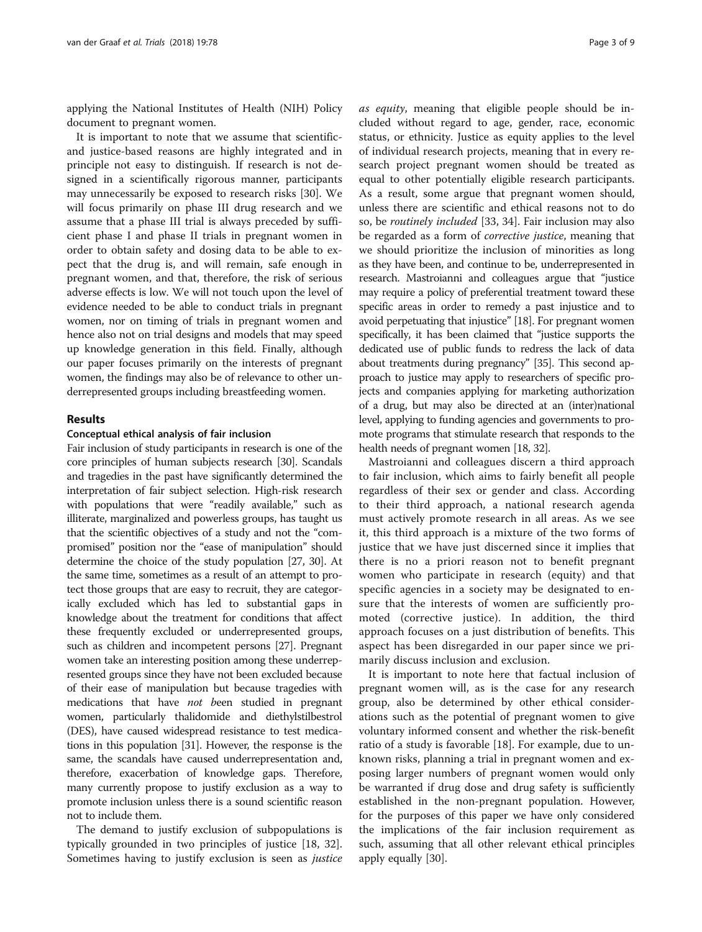applying the National Institutes of Health (NIH) Policy document to pregnant women.

It is important to note that we assume that scientificand justice-based reasons are highly integrated and in principle not easy to distinguish. If research is not designed in a scientifically rigorous manner, participants may unnecessarily be exposed to research risks [[30\]](#page-8-0). We will focus primarily on phase III drug research and we assume that a phase III trial is always preceded by sufficient phase I and phase II trials in pregnant women in order to obtain safety and dosing data to be able to expect that the drug is, and will remain, safe enough in pregnant women, and that, therefore, the risk of serious adverse effects is low. We will not touch upon the level of evidence needed to be able to conduct trials in pregnant women, nor on timing of trials in pregnant women and hence also not on trial designs and models that may speed up knowledge generation in this field. Finally, although our paper focuses primarily on the interests of pregnant women, the findings may also be of relevance to other underrepresented groups including breastfeeding women.

## Results

#### Conceptual ethical analysis of fair inclusion

Fair inclusion of study participants in research is one of the core principles of human subjects research [\[30](#page-8-0)]. Scandals and tragedies in the past have significantly determined the interpretation of fair subject selection. High-risk research with populations that were "readily available," such as illiterate, marginalized and powerless groups, has taught us that the scientific objectives of a study and not the "compromised" position nor the "ease of manipulation" should determine the choice of the study population [\[27, 30\]](#page-8-0). At the same time, sometimes as a result of an attempt to protect those groups that are easy to recruit, they are categorically excluded which has led to substantial gaps in knowledge about the treatment for conditions that affect these frequently excluded or underrepresented groups, such as children and incompetent persons [\[27\]](#page-8-0). Pregnant women take an interesting position among these underrepresented groups since they have not been excluded because of their ease of manipulation but because tragedies with medications that have *not been* studied in pregnant women, particularly thalidomide and diethylstilbestrol (DES), have caused widespread resistance to test medications in this population [[31](#page-8-0)]. However, the response is the same, the scandals have caused underrepresentation and, therefore, exacerbation of knowledge gaps. Therefore, many currently propose to justify exclusion as a way to promote inclusion unless there is a sound scientific reason not to include them.

The demand to justify exclusion of subpopulations is typically grounded in two principles of justice [\[18](#page-8-0), [32](#page-8-0)]. Sometimes having to justify exclusion is seen as justice as equity, meaning that eligible people should be included without regard to age, gender, race, economic status, or ethnicity. Justice as equity applies to the level of individual research projects, meaning that in every research project pregnant women should be treated as equal to other potentially eligible research participants. As a result, some argue that pregnant women should, unless there are scientific and ethical reasons not to do so, be routinely included [\[33](#page-8-0), [34](#page-8-0)]. Fair inclusion may also be regarded as a form of *corrective justice*, meaning that we should prioritize the inclusion of minorities as long as they have been, and continue to be, underrepresented in research. Mastroianni and colleagues argue that "justice may require a policy of preferential treatment toward these specific areas in order to remedy a past injustice and to avoid perpetuating that injustice" [\[18](#page-8-0)]. For pregnant women specifically, it has been claimed that "justice supports the dedicated use of public funds to redress the lack of data about treatments during pregnancy" [\[35](#page-8-0)]. This second approach to justice may apply to researchers of specific projects and companies applying for marketing authorization of a drug, but may also be directed at an (inter)national level, applying to funding agencies and governments to promote programs that stimulate research that responds to the health needs of pregnant women [[18](#page-8-0), [32](#page-8-0)].

Mastroianni and colleagues discern a third approach to fair inclusion, which aims to fairly benefit all people regardless of their sex or gender and class. According to their third approach, a national research agenda must actively promote research in all areas. As we see it, this third approach is a mixture of the two forms of justice that we have just discerned since it implies that there is no a priori reason not to benefit pregnant women who participate in research (equity) and that specific agencies in a society may be designated to ensure that the interests of women are sufficiently promoted (corrective justice). In addition, the third approach focuses on a just distribution of benefits. This aspect has been disregarded in our paper since we primarily discuss inclusion and exclusion.

It is important to note here that factual inclusion of pregnant women will, as is the case for any research group, also be determined by other ethical considerations such as the potential of pregnant women to give voluntary informed consent and whether the risk-benefit ratio of a study is favorable [[18](#page-8-0)]. For example, due to unknown risks, planning a trial in pregnant women and exposing larger numbers of pregnant women would only be warranted if drug dose and drug safety is sufficiently established in the non-pregnant population. However, for the purposes of this paper we have only considered the implications of the fair inclusion requirement as such, assuming that all other relevant ethical principles apply equally [\[30](#page-8-0)].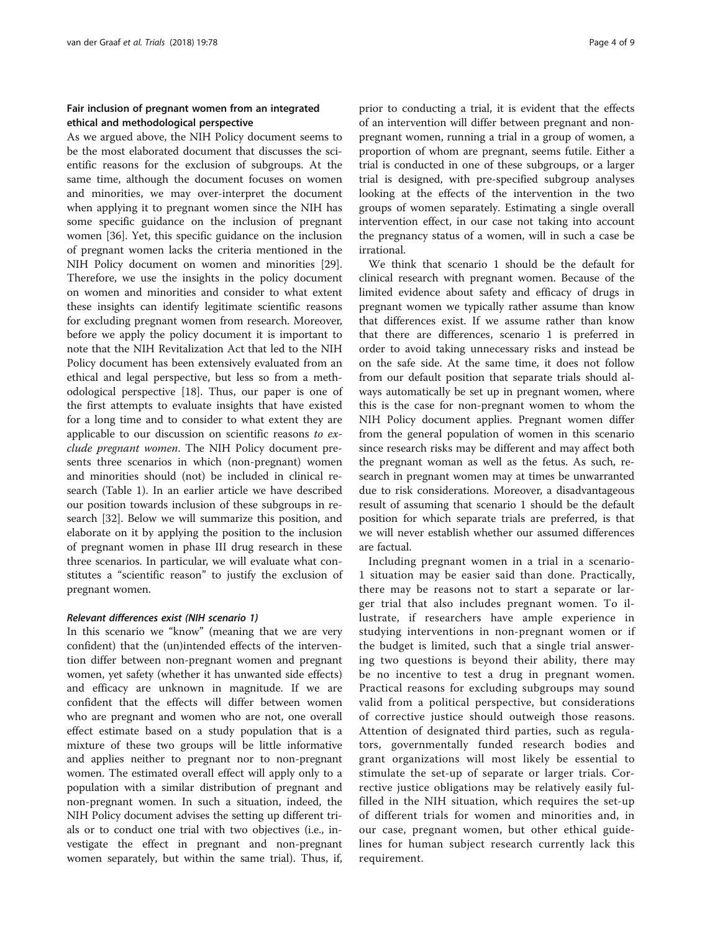# Fair inclusion of pregnant women from an integrated ethical and methodological perspective

As we argued above, the NIH Policy document seems to be the most elaborated document that discusses the scientific reasons for the exclusion of subgroups. At the same time, although the document focuses on women and minorities, we may over-interpret the document when applying it to pregnant women since the NIH has some specific guidance on the inclusion of pregnant women [\[36](#page-8-0)]. Yet, this specific guidance on the inclusion of pregnant women lacks the criteria mentioned in the NIH Policy document on women and minorities [\[29](#page-8-0)]. Therefore, we use the insights in the policy document on women and minorities and consider to what extent these insights can identify legitimate scientific reasons for excluding pregnant women from research. Moreover, before we apply the policy document it is important to note that the NIH Revitalization Act that led to the NIH Policy document has been extensively evaluated from an ethical and legal perspective, but less so from a methodological perspective [\[18\]](#page-8-0). Thus, our paper is one of the first attempts to evaluate insights that have existed for a long time and to consider to what extent they are applicable to our discussion on scientific reasons to exclude pregnant women. The NIH Policy document presents three scenarios in which (non-pregnant) women and minorities should (not) be included in clinical research (Table [1\)](#page-4-0). In an earlier article we have described our position towards inclusion of these subgroups in research [[32](#page-8-0)]. Below we will summarize this position, and elaborate on it by applying the position to the inclusion of pregnant women in phase III drug research in these three scenarios. In particular, we will evaluate what constitutes a "scientific reason" to justify the exclusion of pregnant women.

# Relevant differences exist (NIH scenario 1)

In this scenario we "know" (meaning that we are very confident) that the (un)intended effects of the intervention differ between non-pregnant women and pregnant women, yet safety (whether it has unwanted side effects) and efficacy are unknown in magnitude. If we are confident that the effects will differ between women who are pregnant and women who are not, one overall effect estimate based on a study population that is a mixture of these two groups will be little informative and applies neither to pregnant nor to non-pregnant women. The estimated overall effect will apply only to a population with a similar distribution of pregnant and non-pregnant women. In such a situation, indeed, the NIH Policy document advises the setting up different trials or to conduct one trial with two objectives (i.e., investigate the effect in pregnant and non-pregnant women separately, but within the same trial). Thus, if,

prior to conducting a trial, it is evident that the effects of an intervention will differ between pregnant and nonpregnant women, running a trial in a group of women, a proportion of whom are pregnant, seems futile. Either a trial is conducted in one of these subgroups, or a larger trial is designed, with pre-specified subgroup analyses looking at the effects of the intervention in the two groups of women separately. Estimating a single overall intervention effect, in our case not taking into account the pregnancy status of a women, will in such a case be irrational.

We think that scenario 1 should be the default for clinical research with pregnant women. Because of the limited evidence about safety and efficacy of drugs in pregnant women we typically rather assume than know that differences exist. If we assume rather than know that there are differences, scenario 1 is preferred in order to avoid taking unnecessary risks and instead be on the safe side. At the same time, it does not follow from our default position that separate trials should always automatically be set up in pregnant women, where this is the case for non-pregnant women to whom the NIH Policy document applies. Pregnant women differ from the general population of women in this scenario since research risks may be different and may affect both the pregnant woman as well as the fetus. As such, research in pregnant women may at times be unwarranted due to risk considerations. Moreover, a disadvantageous result of assuming that scenario 1 should be the default position for which separate trials are preferred, is that we will never establish whether our assumed differences are factual.

Including pregnant women in a trial in a scenario-1 situation may be easier said than done. Practically, there may be reasons not to start a separate or larger trial that also includes pregnant women. To illustrate, if researchers have ample experience in studying interventions in non-pregnant women or if the budget is limited, such that a single trial answering two questions is beyond their ability, there may be no incentive to test a drug in pregnant women. Practical reasons for excluding subgroups may sound valid from a political perspective, but considerations of corrective justice should outweigh those reasons. Attention of designated third parties, such as regulators, governmentally funded research bodies and grant organizations will most likely be essential to stimulate the set-up of separate or larger trials. Corrective justice obligations may be relatively easily fulfilled in the NIH situation, which requires the set-up of different trials for women and minorities and, in our case, pregnant women, but other ethical guidelines for human subject research currently lack this requirement.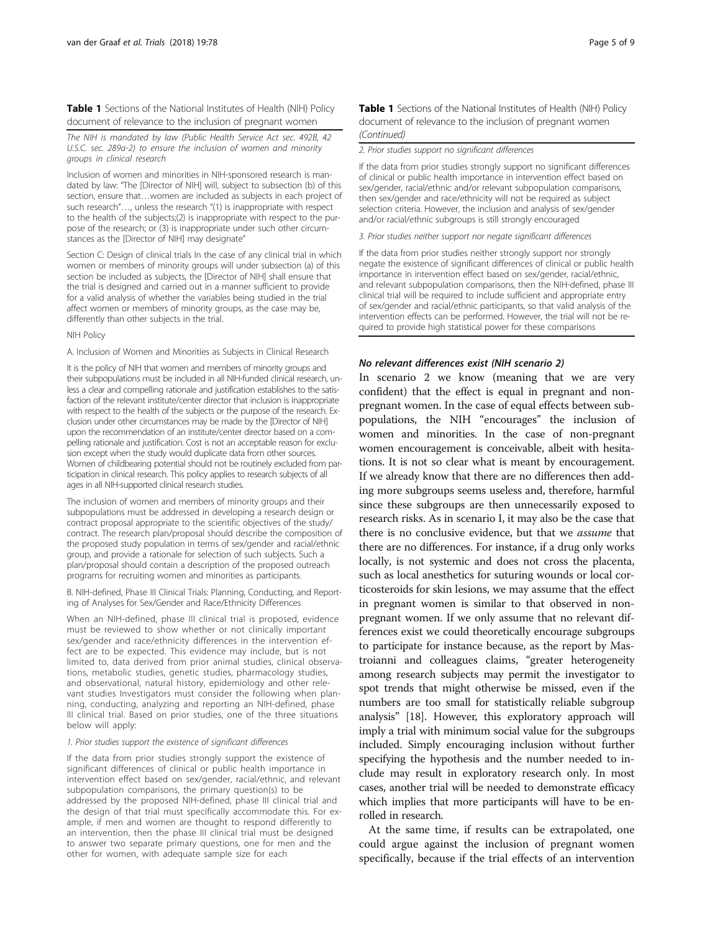# <span id="page-4-0"></span>Table 1 Sections of the National Institutes of Health (NIH) Policy document of relevance to the inclusion of pregnant women

The NIH is mandated by law (Public Health Service Act sec. 492B, 42 U.S.C. sec. 289a-2) to ensure the inclusion of women and minority groups in clinical research

Inclusion of women and minorities in NIH-sponsored research is mandated by law: "The [Director of NIH] will, subject to subsection (b) of this section, ensure that…women are included as subjects in each project of such research"…, unless the research "(1) is inappropriate with respect to the health of the subjects;(2) is inappropriate with respect to the purpose of the research; or (3) is inappropriate under such other circumstances as the [Director of NIH] may designate"

Section C: Design of clinical trials In the case of any clinical trial in which women or members of minority groups will under subsection (a) of this section be included as subjects, the [Director of NIH] shall ensure that the trial is designed and carried out in a manner sufficient to provide for a valid analysis of whether the variables being studied in the trial affect women or members of minority groups, as the case may be, differently than other subjects in the trial.

# NIH Policy

A. Inclusion of Women and Minorities as Subjects in Clinical Research

It is the policy of NIH that women and members of minority groups and their subpopulations must be included in all NIH-funded clinical research, unless a clear and compelling rationale and justification establishes to the satisfaction of the relevant institute/center director that inclusion is inappropriate with respect to the health of the subjects or the purpose of the research. Exclusion under other circumstances may be made by the [Director of NIH] upon the recommendation of an institute/center director based on a compelling rationale and justification. Cost is not an acceptable reason for exclusion except when the study would duplicate data from other sources. Women of childbearing potential should not be routinely excluded from participation in clinical research. This policy applies to research subjects of all ages in all NIH-supported clinical research studies.

The inclusion of women and members of minority groups and their subpopulations must be addressed in developing a research design or contract proposal appropriate to the scientific objectives of the study/ contract. The research plan/proposal should describe the composition of the proposed study population in terms of sex/gender and racial/ethnic group, and provide a rationale for selection of such subjects. Such a plan/proposal should contain a description of the proposed outreach programs for recruiting women and minorities as participants.

B. NIH-defined, Phase III Clinical Trials: Planning, Conducting, and Reporting of Analyses for Sex/Gender and Race/Ethnicity Differences

When an NIH-defined, phase III clinical trial is proposed, evidence must be reviewed to show whether or not clinically important sex/gender and race/ethnicity differences in the intervention effect are to be expected. This evidence may include, but is not limited to, data derived from prior animal studies, clinical observations, metabolic studies, genetic studies, pharmacology studies, and observational, natural history, epidemiology and other relevant studies Investigators must consider the following when planning, conducting, analyzing and reporting an NIH-defined, phase III clinical trial. Based on prior studies, one of the three situations below will apply:

#### 1. Prior studies support the existence of significant differences

If the data from prior studies strongly support the existence of significant differences of clinical or public health importance in intervention effect based on sex/gender, racial/ethnic, and relevant subpopulation comparisons, the primary question(s) to be addressed by the proposed NIH-defined, phase III clinical trial and the design of that trial must specifically accommodate this. For example, if men and women are thought to respond differently to an intervention, then the phase III clinical trial must be designed to answer two separate primary questions, one for men and the other for women, with adequate sample size for each

Table 1 Sections of the National Institutes of Health (NIH) Policy document of relevance to the inclusion of pregnant women (Continued)

#### 2. Prior studies support no significant differences

If the data from prior studies strongly support no significant differences of clinical or public health importance in intervention effect based on sex/gender, racial/ethnic and/or relevant subpopulation comparisons, then sex/gender and race/ethnicity will not be required as subject selection criteria. However, the inclusion and analysis of sex/gender and/or racial/ethnic subgroups is still strongly encouraged

3. Prior studies neither support nor negate significant differences

If the data from prior studies neither strongly support nor strongly negate the existence of significant differences of clinical or public health importance in intervention effect based on sex/gender, racial/ethnic, and relevant subpopulation comparisons, then the NIH-defined, phase III clinical trial will be required to include sufficient and appropriate entry of sex/gender and racial/ethnic participants, so that valid analysis of the intervention effects can be performed. However, the trial will not be required to provide high statistical power for these comparisons

## No relevant differences exist (NIH scenario 2)

In scenario 2 we know (meaning that we are very confident) that the effect is equal in pregnant and nonpregnant women. In the case of equal effects between subpopulations, the NIH "encourages" the inclusion of women and minorities. In the case of non-pregnant women encouragement is conceivable, albeit with hesitations. It is not so clear what is meant by encouragement. If we already know that there are no differences then adding more subgroups seems useless and, therefore, harmful since these subgroups are then unnecessarily exposed to research risks. As in scenario I, it may also be the case that there is no conclusive evidence, but that we assume that there are no differences. For instance, if a drug only works locally, is not systemic and does not cross the placenta, such as local anesthetics for suturing wounds or local corticosteroids for skin lesions, we may assume that the effect in pregnant women is similar to that observed in nonpregnant women. If we only assume that no relevant differences exist we could theoretically encourage subgroups to participate for instance because, as the report by Mastroianni and colleagues claims, "greater heterogeneity among research subjects may permit the investigator to spot trends that might otherwise be missed, even if the numbers are too small for statistically reliable subgroup analysis" [\[18](#page-8-0)]. However, this exploratory approach will imply a trial with minimum social value for the subgroups included. Simply encouraging inclusion without further specifying the hypothesis and the number needed to include may result in exploratory research only. In most cases, another trial will be needed to demonstrate efficacy which implies that more participants will have to be enrolled in research.

At the same time, if results can be extrapolated, one could argue against the inclusion of pregnant women specifically, because if the trial effects of an intervention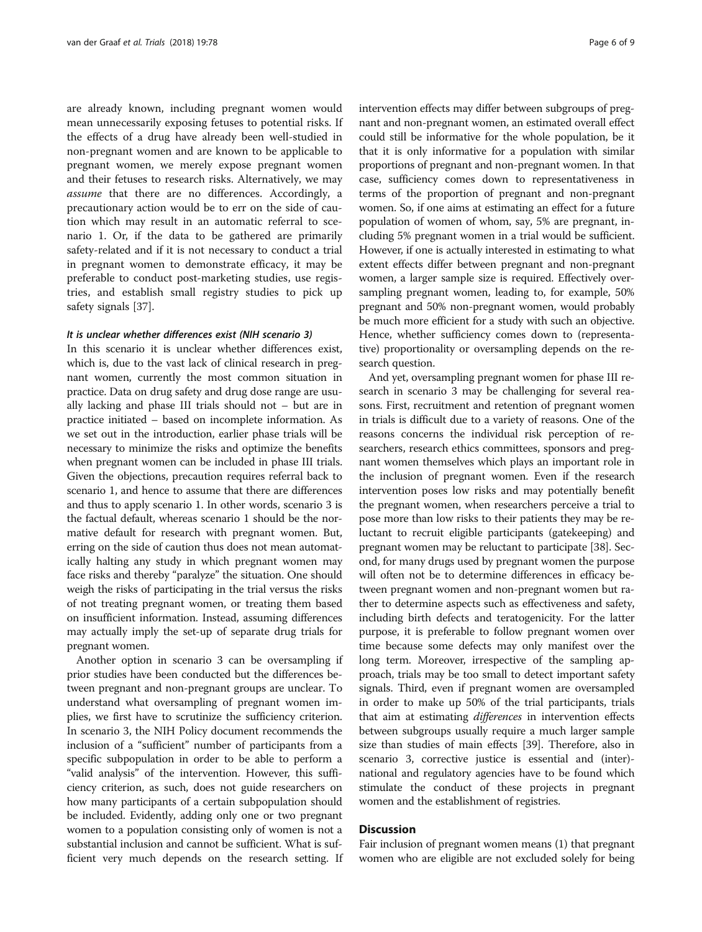are already known, including pregnant women would mean unnecessarily exposing fetuses to potential risks. If the effects of a drug have already been well-studied in non-pregnant women and are known to be applicable to pregnant women, we merely expose pregnant women and their fetuses to research risks. Alternatively, we may assume that there are no differences. Accordingly, a precautionary action would be to err on the side of caution which may result in an automatic referral to scenario 1. Or, if the data to be gathered are primarily safety-related and if it is not necessary to conduct a trial in pregnant women to demonstrate efficacy, it may be preferable to conduct post-marketing studies, use registries, and establish small registry studies to pick up safety signals [[37\]](#page-8-0).

# It is unclear whether differences exist (NIH scenario 3)

In this scenario it is unclear whether differences exist, which is, due to the vast lack of clinical research in pregnant women, currently the most common situation in practice. Data on drug safety and drug dose range are usually lacking and phase III trials should not – but are in practice initiated – based on incomplete information. As we set out in the introduction, earlier phase trials will be necessary to minimize the risks and optimize the benefits when pregnant women can be included in phase III trials. Given the objections, precaution requires referral back to scenario 1, and hence to assume that there are differences and thus to apply scenario 1. In other words, scenario 3 is the factual default, whereas scenario 1 should be the normative default for research with pregnant women. But, erring on the side of caution thus does not mean automatically halting any study in which pregnant women may face risks and thereby "paralyze" the situation. One should weigh the risks of participating in the trial versus the risks of not treating pregnant women, or treating them based on insufficient information. Instead, assuming differences may actually imply the set-up of separate drug trials for pregnant women.

Another option in scenario 3 can be oversampling if prior studies have been conducted but the differences between pregnant and non-pregnant groups are unclear. To understand what oversampling of pregnant women implies, we first have to scrutinize the sufficiency criterion. In scenario 3, the NIH Policy document recommends the inclusion of a "sufficient" number of participants from a specific subpopulation in order to be able to perform a "valid analysis" of the intervention. However, this sufficiency criterion, as such, does not guide researchers on how many participants of a certain subpopulation should be included. Evidently, adding only one or two pregnant women to a population consisting only of women is not a substantial inclusion and cannot be sufficient. What is sufficient very much depends on the research setting. If intervention effects may differ between subgroups of pregnant and non-pregnant women, an estimated overall effect could still be informative for the whole population, be it that it is only informative for a population with similar proportions of pregnant and non-pregnant women. In that case, sufficiency comes down to representativeness in terms of the proportion of pregnant and non-pregnant women. So, if one aims at estimating an effect for a future population of women of whom, say, 5% are pregnant, including 5% pregnant women in a trial would be sufficient. However, if one is actually interested in estimating to what extent effects differ between pregnant and non-pregnant women, a larger sample size is required. Effectively oversampling pregnant women, leading to, for example, 50% pregnant and 50% non-pregnant women, would probably be much more efficient for a study with such an objective. Hence, whether sufficiency comes down to (representative) proportionality or oversampling depends on the research question.

And yet, oversampling pregnant women for phase III research in scenario 3 may be challenging for several reasons. First, recruitment and retention of pregnant women in trials is difficult due to a variety of reasons. One of the reasons concerns the individual risk perception of researchers, research ethics committees, sponsors and pregnant women themselves which plays an important role in the inclusion of pregnant women. Even if the research intervention poses low risks and may potentially benefit the pregnant women, when researchers perceive a trial to pose more than low risks to their patients they may be reluctant to recruit eligible participants (gatekeeping) and pregnant women may be reluctant to participate [\[38\]](#page-8-0). Second, for many drugs used by pregnant women the purpose will often not be to determine differences in efficacy between pregnant women and non-pregnant women but rather to determine aspects such as effectiveness and safety, including birth defects and teratogenicity. For the latter purpose, it is preferable to follow pregnant women over time because some defects may only manifest over the long term. Moreover, irrespective of the sampling approach, trials may be too small to detect important safety signals. Third, even if pregnant women are oversampled in order to make up 50% of the trial participants, trials that aim at estimating *differences* in intervention effects between subgroups usually require a much larger sample size than studies of main effects [\[39](#page-8-0)]. Therefore, also in scenario 3, corrective justice is essential and (inter) national and regulatory agencies have to be found which stimulate the conduct of these projects in pregnant women and the establishment of registries.

# **Discussion**

Fair inclusion of pregnant women means (1) that pregnant women who are eligible are not excluded solely for being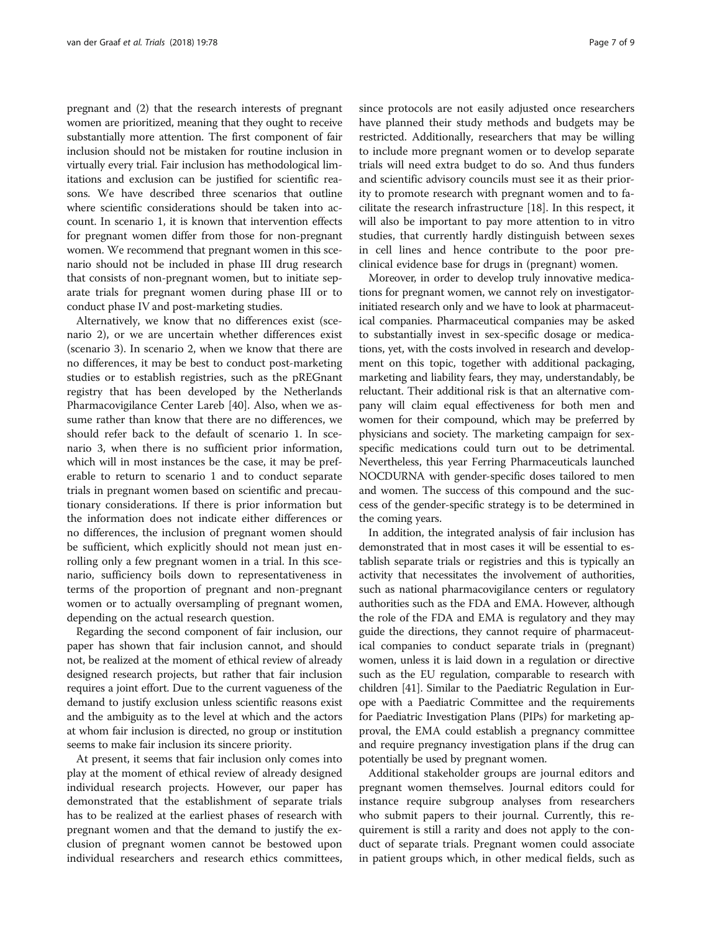pregnant and (2) that the research interests of pregnant women are prioritized, meaning that they ought to receive substantially more attention. The first component of fair inclusion should not be mistaken for routine inclusion in virtually every trial. Fair inclusion has methodological limitations and exclusion can be justified for scientific reasons. We have described three scenarios that outline where scientific considerations should be taken into account. In scenario 1, it is known that intervention effects for pregnant women differ from those for non-pregnant women. We recommend that pregnant women in this scenario should not be included in phase III drug research that consists of non-pregnant women, but to initiate separate trials for pregnant women during phase III or to conduct phase IV and post-marketing studies.

Alternatively, we know that no differences exist (scenario 2), or we are uncertain whether differences exist (scenario 3). In scenario 2, when we know that there are no differences, it may be best to conduct post-marketing studies or to establish registries, such as the pREGnant registry that has been developed by the Netherlands Pharmacovigilance Center Lareb [[40\]](#page-8-0). Also, when we assume rather than know that there are no differences, we should refer back to the default of scenario 1. In scenario 3, when there is no sufficient prior information, which will in most instances be the case, it may be preferable to return to scenario 1 and to conduct separate trials in pregnant women based on scientific and precautionary considerations. If there is prior information but the information does not indicate either differences or no differences, the inclusion of pregnant women should be sufficient, which explicitly should not mean just enrolling only a few pregnant women in a trial. In this scenario, sufficiency boils down to representativeness in terms of the proportion of pregnant and non-pregnant women or to actually oversampling of pregnant women, depending on the actual research question.

Regarding the second component of fair inclusion, our paper has shown that fair inclusion cannot, and should not, be realized at the moment of ethical review of already designed research projects, but rather that fair inclusion requires a joint effort. Due to the current vagueness of the demand to justify exclusion unless scientific reasons exist and the ambiguity as to the level at which and the actors at whom fair inclusion is directed, no group or institution seems to make fair inclusion its sincere priority.

At present, it seems that fair inclusion only comes into play at the moment of ethical review of already designed individual research projects. However, our paper has demonstrated that the establishment of separate trials has to be realized at the earliest phases of research with pregnant women and that the demand to justify the exclusion of pregnant women cannot be bestowed upon individual researchers and research ethics committees, since protocols are not easily adjusted once researchers have planned their study methods and budgets may be restricted. Additionally, researchers that may be willing to include more pregnant women or to develop separate trials will need extra budget to do so. And thus funders and scientific advisory councils must see it as their priority to promote research with pregnant women and to facilitate the research infrastructure [\[18](#page-8-0)]. In this respect, it will also be important to pay more attention to in vitro studies, that currently hardly distinguish between sexes in cell lines and hence contribute to the poor preclinical evidence base for drugs in (pregnant) women.

Moreover, in order to develop truly innovative medications for pregnant women, we cannot rely on investigatorinitiated research only and we have to look at pharmaceutical companies. Pharmaceutical companies may be asked to substantially invest in sex-specific dosage or medications, yet, with the costs involved in research and development on this topic, together with additional packaging, marketing and liability fears, they may, understandably, be reluctant. Their additional risk is that an alternative company will claim equal effectiveness for both men and women for their compound, which may be preferred by physicians and society. The marketing campaign for sexspecific medications could turn out to be detrimental. Nevertheless, this year Ferring Pharmaceuticals launched NOCDURNA with gender-specific doses tailored to men and women. The success of this compound and the success of the gender-specific strategy is to be determined in the coming years.

In addition, the integrated analysis of fair inclusion has demonstrated that in most cases it will be essential to establish separate trials or registries and this is typically an activity that necessitates the involvement of authorities, such as national pharmacovigilance centers or regulatory authorities such as the FDA and EMA. However, although the role of the FDA and EMA is regulatory and they may guide the directions, they cannot require of pharmaceutical companies to conduct separate trials in (pregnant) women, unless it is laid down in a regulation or directive such as the EU regulation, comparable to research with children [\[41\]](#page-8-0). Similar to the Paediatric Regulation in Europe with a Paediatric Committee and the requirements for Paediatric Investigation Plans (PIPs) for marketing approval, the EMA could establish a pregnancy committee and require pregnancy investigation plans if the drug can potentially be used by pregnant women.

Additional stakeholder groups are journal editors and pregnant women themselves. Journal editors could for instance require subgroup analyses from researchers who submit papers to their journal. Currently, this requirement is still a rarity and does not apply to the conduct of separate trials. Pregnant women could associate in patient groups which, in other medical fields, such as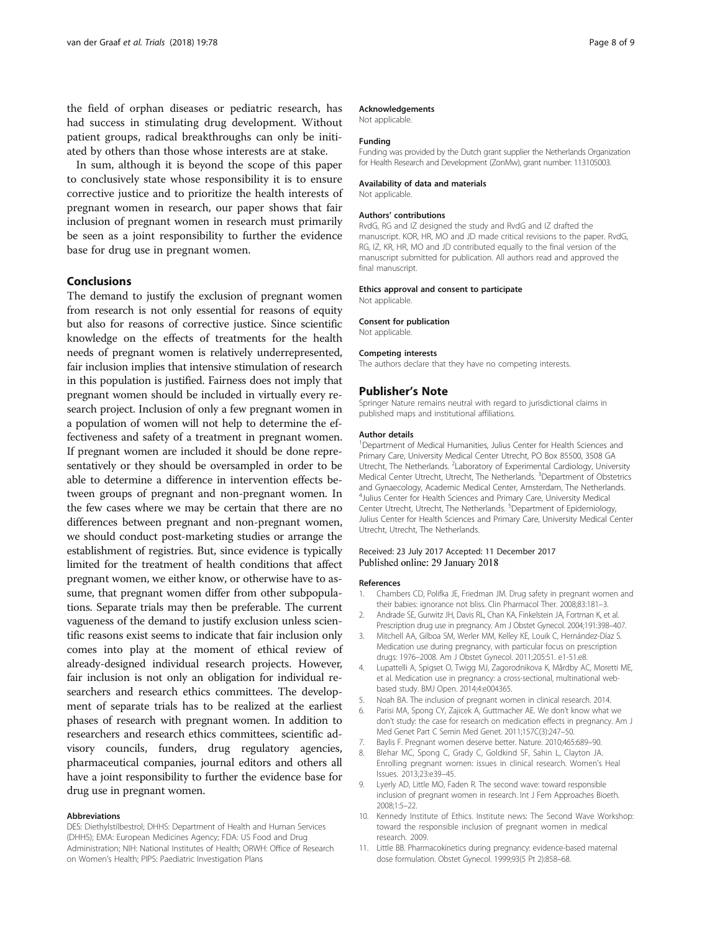<span id="page-7-0"></span>the field of orphan diseases or pediatric research, has had success in stimulating drug development. Without patient groups, radical breakthroughs can only be initiated by others than those whose interests are at stake.

In sum, although it is beyond the scope of this paper to conclusively state whose responsibility it is to ensure corrective justice and to prioritize the health interests of pregnant women in research, our paper shows that fair inclusion of pregnant women in research must primarily be seen as a joint responsibility to further the evidence base for drug use in pregnant women.

# Conclusions

The demand to justify the exclusion of pregnant women from research is not only essential for reasons of equity but also for reasons of corrective justice. Since scientific knowledge on the effects of treatments for the health needs of pregnant women is relatively underrepresented, fair inclusion implies that intensive stimulation of research in this population is justified. Fairness does not imply that pregnant women should be included in virtually every research project. Inclusion of only a few pregnant women in a population of women will not help to determine the effectiveness and safety of a treatment in pregnant women. If pregnant women are included it should be done representatively or they should be oversampled in order to be able to determine a difference in intervention effects between groups of pregnant and non-pregnant women. In the few cases where we may be certain that there are no differences between pregnant and non-pregnant women, we should conduct post-marketing studies or arrange the establishment of registries. But, since evidence is typically limited for the treatment of health conditions that affect pregnant women, we either know, or otherwise have to assume, that pregnant women differ from other subpopulations. Separate trials may then be preferable. The current vagueness of the demand to justify exclusion unless scientific reasons exist seems to indicate that fair inclusion only comes into play at the moment of ethical review of already-designed individual research projects. However, fair inclusion is not only an obligation for individual researchers and research ethics committees. The development of separate trials has to be realized at the earliest phases of research with pregnant women. In addition to researchers and research ethics committees, scientific advisory councils, funders, drug regulatory agencies, pharmaceutical companies, journal editors and others all have a joint responsibility to further the evidence base for drug use in pregnant women.

#### Abbreviations

DES: Diethylstilbestrol; DHHS: Department of Health and Human Services (DHHS); EMA: European Medicines Agency; FDA: US Food and Drug Administration; NIH: National Institutes of Health; ORWH: Office of Research on Women's Health; PIPS: Paediatric Investigation Plans

# Acknowledgements

Not applicable.

# Funding

Funding was provided by the Dutch grant supplier the Netherlands Organization for Health Research and Development (ZonMw), grant number: 113105003.

#### Availability of data and materials

Not applicable.

#### Authors' contributions

RvdG, RG and IZ designed the study and RvdG and IZ drafted the manuscript. KOR, HR, MO and JD made critical revisions to the paper. RvdG, RG, IZ, KR, HR, MO and JD contributed equally to the final version of the manuscript submitted for publication. All authors read and approved the final manuscript.

#### Ethics approval and consent to participate

Not applicable.

#### Consent for publication

Not applicable.

#### Competing interests

The authors declare that they have no competing interests.

#### Publisher's Note

Springer Nature remains neutral with regard to jurisdictional claims in published maps and institutional affiliations.

#### Author details

<sup>1</sup>Department of Medical Humanities, Julius Center for Health Sciences and Primary Care, University Medical Center Utrecht, PO Box 85500, 3508 GA Utrecht, The Netherlands. <sup>2</sup> Laboratory of Experimental Cardiology, University Medical Center Utrecht, Utrecht, The Netherlands. <sup>3</sup> Department of Obstetrics and Gynaecology, Academic Medical Center, Amsterdam, The Netherlands. 4 Julius Center for Health Sciences and Primary Care, University Medical Center Utrecht, Utrecht, The Netherlands. <sup>5</sup>Department of Epidemiology, Julius Center for Health Sciences and Primary Care, University Medical Center Utrecht, Utrecht, The Netherlands.

# Received: 23 July 2017 Accepted: 11 December 2017 Published online: 29 January 2018

#### References

- 1. Chambers CD, Polifka JE, Friedman JM. Drug safety in pregnant women and their babies: ignorance not bliss. Clin Pharmacol Ther. 2008;83:181–3.
- 2. Andrade SE, Gurwitz JH, Davis RL, Chan KA, Finkelstein JA, Fortman K, et al. Prescription drug use in pregnancy. Am J Obstet Gynecol. 2004;191:398–407.
- 3. Mitchell AA, Gilboa SM, Werler MM, Kelley KE, Louik C, Hernández-Díaz S. Medication use during pregnancy, with particular focus on prescription drugs: 1976–2008. Am J Obstet Gynecol. 2011;205:51. e1-51.e8.
- 4. Lupattelli A, Spigset O, Twigg MJ, Zagorodnikova K, Mårdby AC, Moretti ME, et al. Medication use in pregnancy: a cross-sectional, multinational webbased study. BMJ Open. 2014;4:e004365.
- 5. Noah BA. The inclusion of pregnant women in clinical research. 2014.
- 6. Parisi MA, Spong CY, Zajicek A, Guttmacher AE. We don't know what we don't study: the case for research on medication effects in pregnancy. Am J Med Genet Part C Semin Med Genet. 2011;157C(3):247–50.
- 7. Baylis F. Pregnant women deserve better. Nature. 2010;465:689–90.
- 8. Blehar MC, Spong C, Grady C, Goldkind SF, Sahin L, Clayton JA. Enrolling pregnant women: issues in clinical research. Women's Heal Issues. 2013;23:e39–45.
- 9. Lyerly AD, Little MO, Faden R. The second wave: toward responsible inclusion of pregnant women in research. Int J Fem Approaches Bioeth. 2008;1:5–22.
- 10. Kennedy Institute of Ethics. Institute news: The Second Wave Workshop: toward the responsible inclusion of pregnant women in medical research. 2009.
- 11. Little BB. Pharmacokinetics during pregnancy: evidence-based maternal dose formulation. Obstet Gynecol. 1999;93(5 Pt 2):858–68.